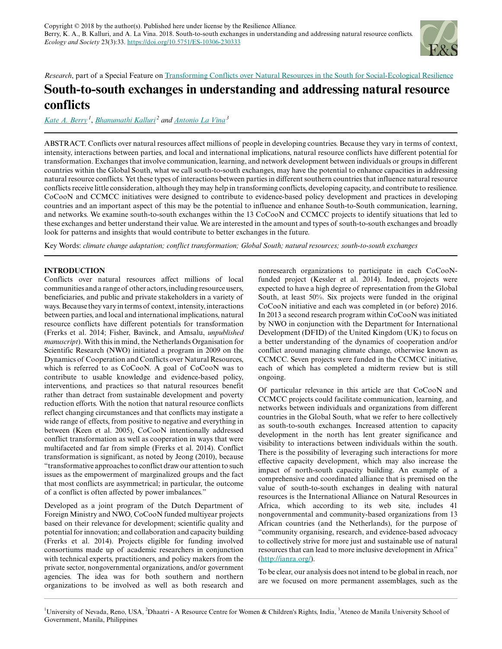

## *Research*, part of a Special Feature on [Transforming Conflicts over Natural Resources in the South for Social-Ecological Resilience](https://www.ecologyandsociety.org/viewissue.php?sf=131)

# **South-to-south exchanges in understanding and addressing natural resource conflicts**

*[Kate A. Berry](mailto:kberry@unr.edu)<sup>1</sup>* , *[Bhanumathi Kalluri](mailto:dhaatri@gmail.com)<sup>2</sup> and [Antonio La Vina](mailto:tonylavs@gmail.com)<sup>3</sup>*

ABSTRACT. Conflicts over natural resources affect millions of people in developing countries. Because they vary in terms of context, intensity, interactions between parties, and local and international implications, natural resource conflicts have different potential for transformation. Exchanges that involve communication, learning, and network development between individuals or groups in different countries within the Global South, what we call south-to-south exchanges, may have the potential to enhance capacities in addressing natural resource conflicts. Yet these types of interactions between parties in different southern countries that influence natural resource conflicts receive little consideration, although they may help in transforming conflicts, developing capacity, and contribute to resilience. CoCooN and CCMCC initiatives were designed to contribute to evidence-based policy development and practices in developing countries and an important aspect of this may be the potential to influence and enhance South-to-South communication, learning, and networks. We examine south-to-south exchanges within the 13 CoCooN and CCMCC projects to identify situations that led to these exchanges and better understand their value. We are interested in the amount and types of south-to-south exchanges and broadly look for patterns and insights that would contribute to better exchanges in the future.

Key Words: *climate change adaptation; conflict transformation; Global South; natural resources; south-to-south exchanges*

## **INTRODUCTION**

Conflicts over natural resources affect millions of local communities and a range of other actors, including resource users, beneficiaries, and public and private stakeholders in a variety of ways. Because they vary in terms of context, intensity, interactions between parties, and local and international implications, natural resource conflicts have different potentials for transformation (Frerks et al. 2014; Fisher, Bavinck, and Amsalu, *unpublished manuscript*). With this in mind, the Netherlands Organisation for Scientific Research (NWO) initiated a program in 2009 on the Dynamics of Cooperation and Conflicts over Natural Resources, which is referred to as CoCooN. A goal of CoCooN was to contribute to usable knowledge and evidence-based policy, interventions, and practices so that natural resources benefit rather than detract from sustainable development and poverty reduction efforts. With the notion that natural resource conflicts reflect changing circumstances and that conflicts may instigate a wide range of effects, from positive to negative and everything in between (Keen et al. 2005), CoCooN intentionally addressed conflict transformation as well as cooperation in ways that were multifaceted and far from simple (Frerks et al. 2014). Conflict transformation is significant, as noted by Jeong (2010), because "transformative approaches to conflict draw our attention to such issues as the empowerment of marginalized groups and the fact that most conflicts are asymmetrical; in particular, the outcome of a conflict is often affected by power imbalances."

Developed as a joint program of the Dutch Department of Foreign Ministry and NWO, CoCooN funded multiyear projects based on their relevance for development; scientific quality and potential for innovation; and collaboration and capacity building (Frerks et al. 2014). Projects eligible for funding involved consortiums made up of academic researchers in conjunction with technical experts, practitioners, and policy makers from the private sector, nongovernmental organizations, and/or government agencies. The idea was for both southern and northern organizations to be involved as well as both research and nonresearch organizations to participate in each CoCooNfunded project (Kessler et al. 2014). Indeed, projects were expected to have a high degree of representation from the Global South, at least 50%. Six projects were funded in the original CoCooN initiative and each was completed in (or before) 2016. In 2013 a second research program within CoCooN was initiated by NWO in conjunction with the Department for International Development (DFID) of the United Kingdom (UK) to focus on a better understanding of the dynamics of cooperation and/or conflict around managing climate change, otherwise known as CCMCC. Seven projects were funded in the CCMCC initiative, each of which has completed a midterm review but is still ongoing.

Of particular relevance in this article are that CoCooN and CCMCC projects could facilitate communication, learning, and networks between individuals and organizations from different countries in the Global South, what we refer to here collectively as south-to-south exchanges. Increased attention to capacity development in the north has lent greater significance and visibility to interactions between individuals within the south. There is the possibility of leveraging such interactions for more effective capacity development, which may also increase the impact of north-south capacity building. An example of a comprehensive and coordinated alliance that is premised on the value of south-to-south exchanges in dealing with natural resources is the International Alliance on Natural Resources in Africa, which according to its web site, includes 41 nongovernmental and community-based organizations from 13 African countries (and the Netherlands), for the purpose of "community organising, research, and evidence-based advocacy to collectively strive for more just and sustainable use of natural resources that can lead to more inclusive development in Africa" ([http://ianra.org/\)](http://ianra.org/).

To be clear, our analysis does not intend to be global in reach, nor are we focused on more permanent assemblages, such as the

<sup>1</sup>University of Nevada, Reno, USA, <sup>2</sup>Dhaatri - A Resource Centre for Women & Children's Rights, India, <sup>3</sup>Ateneo de Manila University School of Government, Manila, Philippines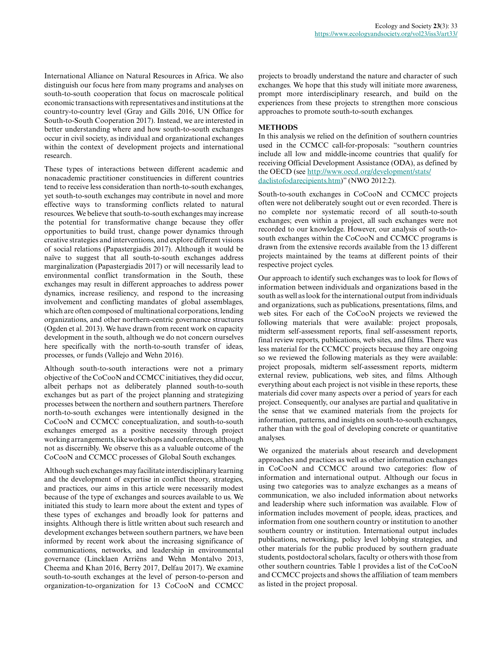International Alliance on Natural Resources in Africa. We also distinguish our focus here from many programs and analyses on south-to-south cooperation that focus on macroscale political economic transactions with representatives and institutions at the country-to-country level (Gray and Gills 2016, UN Office for South-to-South Cooperation 2017). Instead, we are interested in better understanding where and how south-to-south exchanges occur in civil society, as individual and organizational exchanges within the context of development projects and international research.

These types of interactions between different academic and nonacademic practitioner constituencies in different countries tend to receive less consideration than north-to-south exchanges, yet south-to-south exchanges may contribute in novel and more effective ways to transforming conflicts related to natural resources. We believe that south-to-south exchanges may increase the potential for transformative change because they offer opportunities to build trust, change power dynamics through creative strategies and interventions, and explore different visions of social relations (Papastergiadis 2017). Although it would be naïve to suggest that all south-to-south exchanges address marginalization (Papastergiadis 2017) or will necessarily lead to environmental conflict transformation in the South, these exchanges may result in different approaches to address power dynamics, increase resiliency, and respond to the increasing involvement and conflicting mandates of global assemblages, which are often composed of multinational corporations, lending organizations, and other northern-centric governance structures (Ogden et al. 2013). We have drawn from recent work on capacity development in the south, although we do not concern ourselves here specifically with the north-to-south transfer of ideas, processes, or funds (Vallejo and Wehn 2016).

Although south-to-south interactions were not a primary objective of the CoCooN and CCMCC initiatives, they did occur, albeit perhaps not as deliberately planned south-to-south exchanges but as part of the project planning and strategizing processes between the northern and southern partners. Therefore north-to-south exchanges were intentionally designed in the CoCooN and CCMCC conceptualization, and south-to-south exchanges emerged as a positive necessity through project working arrangements, like workshops and conferences, although not as discernibly. We observe this as a valuable outcome of the CoCooN and CCMCC processes of Global South exchanges.

Although such exchanges may facilitate interdisciplinary learning and the development of expertise in conflict theory, strategies, and practices, our aims in this article were necessarily modest because of the type of exchanges and sources available to us. We initiated this study to learn more about the extent and types of these types of exchanges and broadly look for patterns and insights. Although there is little written about such research and development exchanges between southern partners, we have been informed by recent work about the increasing significance of communications, networks, and leadership in environmental governance (Lincklaen Arriëns and Wehn Montalvo 2013, Cheema and Khan 2016, Berry 2017, Delfau 2017). We examine south-to-south exchanges at the level of person-to-person and organization-to-organization for 13 CoCooN and CCMCC

projects to broadly understand the nature and character of such exchanges. We hope that this study will initiate more awareness, prompt more interdisciplinary research, and build on the experiences from these projects to strengthen more conscious approaches to promote south-to-south exchanges.

## **METHODS**

In this analysis we relied on the definition of southern countries used in the CCMCC call-for-proposals: "southern countries include all low and middle-income countries that qualify for receiving Official Development Assistance (ODA), as defined by the OECD (see [http://www.oecd.org/development/stats/](http://www.oecd.org/development/stats/daclistofodarecipients.htm) [daclistofodarecipients.htm](http://www.oecd.org/development/stats/daclistofodarecipients.htm))" (NWO 2012:2).

South-to-south exchanges in CoCooN and CCMCC projects often were not deliberately sought out or even recorded. There is no complete nor systematic record of all south-to-south exchanges; even within a project, all such exchanges were not recorded to our knowledge. However, our analysis of south-tosouth exchanges within the CoCooN and CCMCC programs is drawn from the extensive records available from the 13 different projects maintained by the teams at different points of their respective project cycles.

Our approach to identify such exchanges was to look for flows of information between individuals and organizations based in the south as well as look for the international output from individuals and organizations, such as publications, presentations, films, and web sites. For each of the CoCooN projects we reviewed the following materials that were available: project proposals, midterm self-assessment reports, final self-assessment reports, final review reports, publications, web sites, and films. There was less material for the CCMCC projects because they are ongoing so we reviewed the following materials as they were available: project proposals, midterm self-assessment reports, midterm external review, publications, web sites, and films. Although everything about each project is not visible in these reports, these materials did cover many aspects over a period of years for each project. Consequently, our analyses are partial and qualitative in the sense that we examined materials from the projects for information, patterns, and insights on south-to-south exchanges, rather than with the goal of developing concrete or quantitative analyses.

We organized the materials about research and development approaches and practices as well as other information exchanges in CoCooN and CCMCC around two categories: flow of information and international output. Although our focus in using two categories was to analyze exchanges as a means of communication, we also included information about networks and leadership where such information was available. Flow of information includes movement of people, ideas, practices, and information from one southern country or institution to another southern country or institution. International output includes publications, networking, policy level lobbying strategies, and other materials for the public produced by southern graduate students, postdoctoral scholars, faculty or others with those from other southern countries. Table 1 provides a list of the CoCooN and CCMCC projects and shows the affiliation of team members as listed in the project proposal.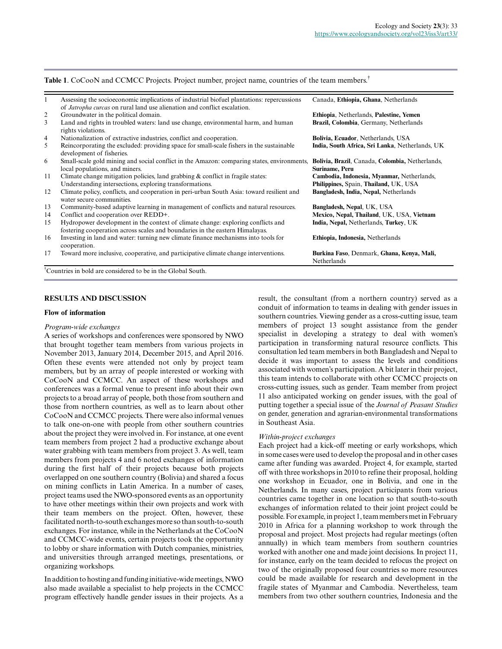| Assessing the socioeconomic implications of industrial biofuel plantations: repercussions<br>of <i>Jatropha curcas</i> on rural land use alienation and conflict escalation. | Canada, Ethiopia, Ghana, Netherlands                              |
|------------------------------------------------------------------------------------------------------------------------------------------------------------------------------|-------------------------------------------------------------------|
| Groundwater in the political domain.                                                                                                                                         | Ethiopia, Netherlands, Palestine, Yemen                           |
| Land and rights in troubled waters: land use change, environmental harm, and human<br>rights violations.                                                                     | Brazil, Colombia, Germany, Netherlands                            |
| Nationalization of extractive industries, conflict and cooperation.                                                                                                          | Bolivia, Ecuador, Netherlands, USA                                |
| Reincorporating the excluded: providing space for small-scale fishers in the sustainable<br>development of fisheries.                                                        | India, South Africa, Sri Lanka, Netherlands, UK                   |
| Small-scale gold mining and social conflict in the Amazon: comparing states, environments,<br>local populations, and miners.                                                 | Bolivia, Brazil, Canada, Colombia, Netherlands,<br>Suriname, Peru |
| Climate change mitigation policies, land grabbing $\&$ conflict in fragile states:                                                                                           | Cambodia, Indonesia, Myanmar, Netherlands,                        |
| Understanding intersections, exploring transformations.                                                                                                                      | Philippines, Spain, Thailand, UK, USA                             |
| Climate policy, conflicts, and cooperation in peri-urban South Asia: toward resilient and<br>water secure communities.                                                       | Bangladesh, India, Nepal, Netherlands                             |
| Community-based adaptive learning in management of conflicts and natural resources.                                                                                          | Bangladesh, Nepal, UK, USA                                        |
| Conflict and cooperation over REDD+.                                                                                                                                         | Mexico, Nepal, Thailand, UK, USA, Vietnam                         |
| Hydropower development in the context of climate change: exploring conflicts and<br>fostering cooperation across scales and boundaries in the eastern Himalayas.             | India, Nepal, Netherlands, Turkey, UK                             |
| Investing in land and water: turning new climate finance mechanisms into tools for<br>cooperation.                                                                           | Ethiopia, Indonesia, Netherlands                                  |
| Toward more inclusive, cooperative, and participative climate change interventions.                                                                                          | Burkina Faso, Denmark, Ghana, Kenya, Mali,<br>Netherlands         |
|                                                                                                                                                                              |                                                                   |

†Countries in bold are considered to be in the Global South.

### **RESULTS AND DISCUSSION**

### **Flow of information**

#### *Program-wide exchanges*

A series of workshops and conferences were sponsored by NWO that brought together team members from various projects in November 2013, January 2014, December 2015, and April 2016. Often these events were attended not only by project team members, but by an array of people interested or working with CoCooN and CCMCC. An aspect of these workshops and conferences was a formal venue to present info about their own projects to a broad array of people, both those from southern and those from northern countries, as well as to learn about other CoCooN and CCMCC projects. There were also informal venues to talk one-on-one with people from other southern countries about the project they were involved in. For instance, at one event team members from project 2 had a productive exchange about water grabbing with team members from project 3. As well, team members from projects 4 and 6 noted exchanges of information during the first half of their projects because both projects overlapped on one southern country (Bolivia) and shared a focus on mining conflicts in Latin America. In a number of cases, project teams used the NWO-sponsored events as an opportunity to have other meetings within their own projects and work with their team members on the project. Often, however, these facilitated north-to-south exchanges more so than south-to-south exchanges. For instance, while in the Netherlands at the CoCooN and CCMCC-wide events, certain projects took the opportunity to lobby or share information with Dutch companies, ministries, and universities through arranged meetings, presentations, or organizing workshops.

In addition to hosting and funding initiative-wide meetings, NWO also made available a specialist to help projects in the CCMCC program effectively handle gender issues in their projects. As a result, the consultant (from a northern country) served as a conduit of information to teams in dealing with gender issues in southern countries. Viewing gender as a cross-cutting issue, team members of project 13 sought assistance from the gender specialist in developing a strategy to deal with women's participation in transforming natural resource conflicts. This consultation led team members in both Bangladesh and Nepal to decide it was important to assess the levels and conditions associated with women's participation. A bit later in their project, this team intends to collaborate with other CCMCC projects on cross-cutting issues, such as gender. Team member from project 11 also anticipated working on gender issues, with the goal of putting together a special issue of the *Journal of Peasant Studies* on gender, generation and agrarian-environmental transformations in Southeast Asia.

#### *Within-project exchanges*

Each project had a kick-off meeting or early workshops, which in some cases were used to develop the proposal and in other cases came after funding was awarded. Project 4, for example, started off with three workshops in 2010 to refine their proposal, holding one workshop in Ecuador, one in Bolivia, and one in the Netherlands. In many cases, project participants from various countries came together in one location so that south-to-south exchanges of information related to their joint project could be possible. For example, in project 1, team members met in February 2010 in Africa for a planning workshop to work through the proposal and project. Most projects had regular meetings (often annually) in which team members from southern countries worked with another one and made joint decisions. In project 11, for instance, early on the team decided to refocus the project on two of the originally proposed four countries so more resources could be made available for research and development in the fragile states of Myanmar and Cambodia. Nevertheless, team members from two other southern countries, Indonesia and the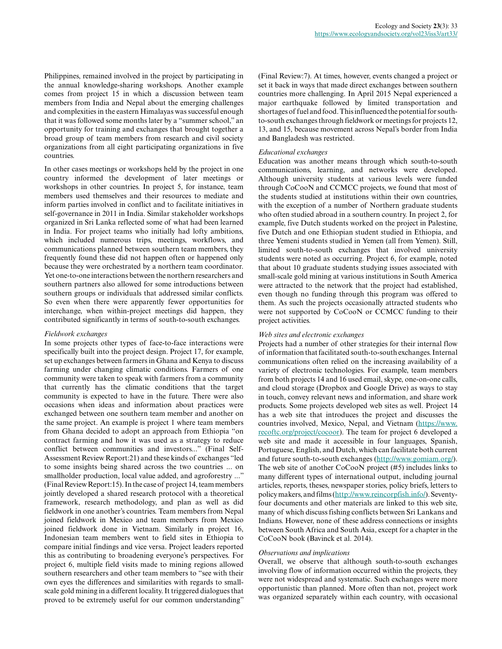Philippines, remained involved in the project by participating in the annual knowledge-sharing workshops. Another example comes from project 15 in which a discussion between team members from India and Nepal about the emerging challenges and complexities in the eastern Himalayas was successful enough that it was followed some months later by a "summer school," an opportunity for training and exchanges that brought together a broad group of team members from research and civil society organizations from all eight participating organizations in five countries.

In other cases meetings or workshops held by the project in one country informed the development of later meetings or workshops in other countries. In project 5, for instance, team members used themselves and their resources to mediate and inform parties involved in conflict and to facilitate initiatives in self-governance in 2011 in India. Similar stakeholder workshops organized in Sri Lanka reflected some of what had been learned in India. For project teams who initially had lofty ambitions, which included numerous trips, meetings, workflows, and communications planned between southern team members, they frequently found these did not happen often or happened only because they were orchestrated by a northern team coordinator. Yet one-to-one interactions between the northern researchers and southern partners also allowed for some introductions between southern groups or individuals that addressed similar conflicts. So even when there were apparently fewer opportunities for interchange, when within-project meetings did happen, they contributed significantly in terms of south-to-south exchanges.

#### *Fieldwork exchanges*

In some projects other types of face-to-face interactions were specifically built into the project design. Project 17, for example, set up exchanges between farmers in Ghana and Kenya to discuss farming under changing climatic conditions. Farmers of one community were taken to speak with farmers from a community that currently has the climatic conditions that the target community is expected to have in the future. There were also occasions when ideas and information about practices were exchanged between one southern team member and another on the same project. An example is project 1 where team members from Ghana decided to adopt an approach from Ethiopia "on contract farming and how it was used as a strategy to reduce conflict between communities and investors..." (Final Self-Assessment Review Report:21) and these kinds of exchanges "led to some insights being shared across the two countries ... on smallholder production, local value added, and agroforestry ..." (Final Review Report:15). In the case of project 14, team members jointly developed a shared research protocol with a theoretical framework, research methodology, and plan as well as did fieldwork in one another's countries. Team members from Nepal joined fieldwork in Mexico and team members from Mexico joined fieldwork done in Vietnam. Similarly in project 16, Indonesian team members went to field sites in Ethiopia to compare initial findings and vice versa. Project leaders reported this as contributing to broadening everyone's perspectives. For project 6, multiple field visits made to mining regions allowed southern researchers and other team members to "see with their own eyes the differences and similarities with regards to smallscale gold mining in a different locality. It triggered dialogues that proved to be extremely useful for our common understanding"

(Final Review:7). At times, however, events changed a project or set it back in ways that made direct exchanges between southern countries more challenging. In April 2015 Nepal experienced a major earthquake followed by limited transportation and shortages of fuel and food. This influenced the potential for southto-south exchanges through fieldwork or meetings for projects 12, 13, and 15, because movement across Nepal's border from India and Bangladesh was restricted.

## *Educational exchanges*

Education was another means through which south-to-south communications, learning, and networks were developed. Although university students at various levels were funded through CoCooN and CCMCC projects, we found that most of the students studied at institutions within their own countries, with the exception of a number of Northern graduate students who often studied abroad in a southern country. In project 2, for example, five Dutch students worked on the project in Palestine, five Dutch and one Ethiopian student studied in Ethiopia, and three Yemeni students studied in Yemen (all from Yemen). Still, limited south-to-south exchanges that involved university students were noted as occurring. Project 6, for example, noted that about 10 graduate students studying issues associated with small-scale gold mining at various institutions in South America were attracted to the network that the project had established, even though no funding through this program was offered to them. As such the projects occasionally attracted students who were not supported by CoCooN or CCMCC funding to their project activities.

#### *Web sites and electronic exchanges*

Projects had a number of other strategies for their internal flow of information that facilitated south-to-south exchanges. Internal communications often relied on the increasing availability of a variety of electronic technologies. For example, team members from both projects 14 and 16 used email, skype, one-on-one calls, and cloud storage (Dropbox and Google Drive) as ways to stay in touch, convey relevant news and information, and share work products. Some projects developed web sites as well. Project 14 has a web site that introduces the project and discusses the countries involved, Mexico, Nepal, and Vietnam [\(https://www.](https://www.recoftc.org/project/cocoor) [recoftc.org/project/cocoor\)](https://www.recoftc.org/project/cocoor). The team for project 6 developed a web site and made it accessible in four languages, Spanish, Portuguese, English, and Dutch, which can facilitate both current and future south-to-south exchanges [\(http://www.gomiam.org/\)](http://www.gomiam.org/). The web site of another CoCooN project (#5) includes links to many different types of international output, including journal articles, reports, theses, newspaper stories, policy briefs, letters to policy makers, and films ([http://www.reincorpfish.info/\)](http://www.reincorpfish.info/). Seventyfour documents and other materials are linked to this web site, many of which discuss fishing conflicts between Sri Lankans and Indians. However, none of these address connections or insights between South Africa and South Asia, except for a chapter in the CoCooN book (Bavinck et al. 2014).

## *Observations and implications*

Overall, we observe that although south-to-south exchanges involving flow of information occurred within the projects, they were not widespread and systematic. Such exchanges were more opportunistic than planned. More often than not, project work was organized separately within each country, with occasional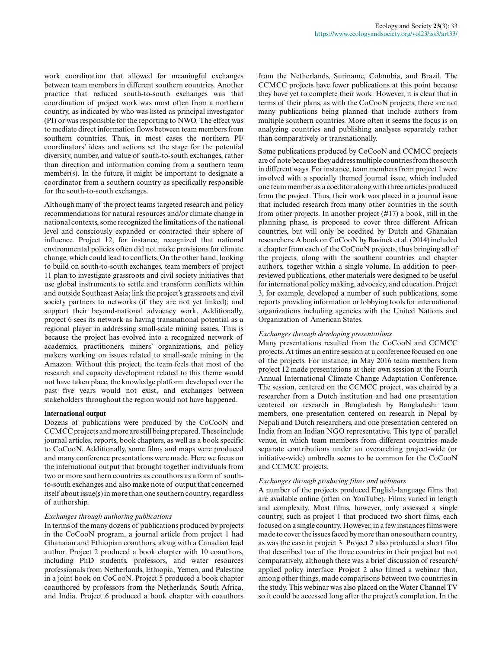work coordination that allowed for meaningful exchanges between team members in different southern countries. Another practice that reduced south-to-south exchanges was that coordination of project work was most often from a northern country, as indicated by who was listed as principal investigator (PI) or was responsible for the reporting to NWO. The effect was to mediate direct information flows between team members from southern countries. Thus, in most cases the northern PI/ coordinators' ideas and actions set the stage for the potential diversity, number, and value of south-to-south exchanges, rather than direction and information coming from a southern team member(s). In the future, it might be important to designate a coordinator from a southern country as specifically responsible for the south-to-south exchanges.

Although many of the project teams targeted research and policy recommendations for natural resources and/or climate change in national contexts, some recognized the limitations of the national level and consciously expanded or contracted their sphere of influence. Project 12, for instance, recognized that national environmental policies often did not make provisions for climate change, which could lead to conflicts. On the other hand, looking to build on south-to-south exchanges, team members of project 11 plan to investigate grassroots and civil society initiatives that use global instruments to settle and transform conflicts within and outside Southeast Asia; link the project's grassroots and civil society partners to networks (if they are not yet linked); and support their beyond-national advocacy work. Additionally, project 6 sees its network as having transnational potential as a regional player in addressing small-scale mining issues. This is because the project has evolved into a recognized network of academics, practitioners, miners' organizations, and policy makers working on issues related to small-scale mining in the Amazon. Without this project, the team feels that most of the research and capacity development related to this theme would not have taken place, the knowledge platform developed over the past five years would not exist, and exchanges between stakeholders throughout the region would not have happened.

#### **International output**

Dozens of publications were produced by the CoCooN and CCMCC projects and more are still being prepared. These include journal articles, reports, book chapters, as well as a book specific to CoCooN. Additionally, some films and maps were produced and many conference presentations were made. Here we focus on the international output that brought together individuals from two or more southern countries as coauthors as a form of southto-south exchanges and also make note of output that concerned itself about issue(s) in more than one southern country, regardless of authorship.

#### *Exchanges through authoring publications*

In terms of the many dozens of publications produced by projects in the CoCooN program, a journal article from project 1 had Ghanaian and Ethiopian coauthors, along with a Canadian lead author. Project 2 produced a book chapter with 10 coauthors, including PhD students, professors, and water resources professionals from Netherlands, Ethiopia, Yemen, and Palestine in a joint book on CoCooN. Project 5 produced a book chapter coauthored by professors from the Netherlands, South Africa, and India. Project 6 produced a book chapter with coauthors from the Netherlands, Suriname, Colombia, and Brazil. The CCMCC projects have fewer publications at this point because they have yet to complete their work. However, it is clear that in terms of their plans, as with the CoCooN projects, there are not many publications being planned that include authors from multiple southern countries. More often it seems the focus is on analyzing countries and publishing analyses separately rather than comparatively or transnationally.

Some publications produced by CoCooN and CCMCC projects are of note because they address multiple countries from the south in different ways. For instance, team members from project 1 were involved with a specially themed journal issue, which included one team member as a coeditor along with three articles produced from the project. Thus, their work was placed in a journal issue that included research from many other countries in the south from other projects. In another project (#17) a book, still in the planning phase, is proposed to cover three different African countries, but will only be coedited by Dutch and Ghanaian researchers. A book on CoCooN by Bavinck et al. (2014) included a chapter from each of the CoCooN projects, thus bringing all of the projects, along with the southern countries and chapter authors, together within a single volume. In addition to peerreviewed publications, other materials were designed to be useful for international policy making, advocacy, and education. Project 3, for example, developed a number of such publications, some reports providing information or lobbying tools for international organizations including agencies with the United Nations and Organization of American States.

## *Exchanges through developing presentations*

Many presentations resulted from the CoCooN and CCMCC projects. At times an entire session at a conference focused on one of the projects. For instance, in May 2016 team members from project 12 made presentations at their own session at the Fourth Annual International Climate Change Adaptation Conference. The session, centered on the CCMCC project, was chaired by a researcher from a Dutch institution and had one presentation centered on research in Bangladesh by Bangladeshi team members, one presentation centered on research in Nepal by Nepali and Dutch researchers, and one presentation centered on India from an Indian NGO representative. This type of parallel venue, in which team members from different countries made separate contributions under an overarching project-wide (or initiative-wide) umbrella seems to be common for the CoCooN and CCMCC projects.

#### *Exchanges through producing films and webinars*

A number of the projects produced English-language films that are available online (often on YouTube). Films varied in length and complexity. Most films, however, only assessed a single country, such as project 1 that produced two short films, each focused on a single country. However, in a few instances films were made to cover the issues faced by more than one southern country, as was the case in project 3. Project 2 also produced a short film that described two of the three countries in their project but not comparatively, although there was a brief discussion of research/ applied policy interface. Project 2 also filmed a webinar that, among other things, made comparisons between two countries in the study. This webinar was also placed on the Water Channel TV so it could be accessed long after the project's completion. In the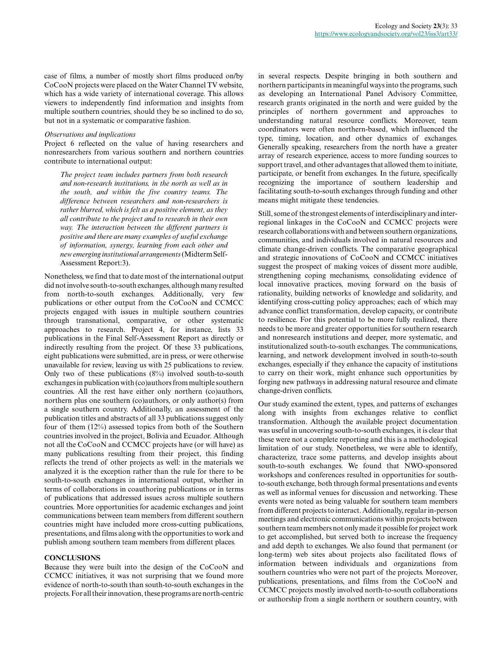case of films, a number of mostly short films produced on/by CoCooN projects were placed on the Water Channel TV website, which has a wide variety of international coverage. This allows viewers to independently find information and insights from multiple southern countries, should they be so inclined to do so, but not in a systematic or comparative fashion.

#### *Observations and implications*

Project 6 reflected on the value of having researchers and nonresearchers from various southern and northern countries contribute to international output:

*The project team includes partners from both research and non-research institutions, in the north as well as in the south, and within the five country teams. The difference between researchers and non-researchers is rather blurred, which is felt as a positive element, as they all contribute to the project and to research in their own way. The interaction between the different partners is positive and there are many examples of useful exchange of information, synergy, learning from each other and new emerging institutional arrangements* (Midterm Self-Assessment Report:3).

Nonetheless, we find that to date most of the international output did not involve south-to-south exchanges, although many resulted from north-to-south exchanges. Additionally, very few publications or other output from the CoCooN and CCMCC projects engaged with issues in multiple southern countries through transnational, comparative, or other systematic approaches to research. Project 4, for instance, lists 33 publications in the Final Self-Assessment Report as directly or indirectly resulting from the project. Of these 33 publications, eight publications were submitted, are in press, or were otherwise unavailable for review, leaving us with 25 publications to review. Only two of these publications (8%) involved south-to-south exchanges in publication with (co)authors from multiple southern countries. All the rest have either only northern (co)authors, northern plus one southern (co)authors, or only author(s) from a single southern country. Additionally, an assessment of the publication titles and abstracts of all 33 publications suggest only four of them (12%) assessed topics from both of the Southern countries involved in the project, Bolivia and Ecuador. Although not all the CoCooN and CCMCC projects have (or will have) as many publications resulting from their project, this finding reflects the trend of other projects as well: in the materials we analyzed it is the exception rather than the rule for there to be south-to-south exchanges in international output, whether in terms of collaborations in coauthoring publications or in terms of publications that addressed issues across multiple southern countries. More opportunities for academic exchanges and joint communications between team members from different southern countries might have included more cross-cutting publications, presentations, and films along with the opportunities to work and publish among southern team members from different places.

#### **CONCLUSIONS**

Because they were built into the design of the CoCooN and CCMCC initiatives, it was not surprising that we found more evidence of north-to-south than south-to-south exchanges in the projects. For all their innovation, these programs are north-centric in several respects. Despite bringing in both southern and northern participants in meaningful ways into the programs, such as developing an International Panel Advisory Committee, research grants originated in the north and were guided by the principles of northern government and approaches to understanding natural resource conflicts. Moreover, team coordinators were often northern-based, which influenced the type, timing, location, and other dynamics of exchanges. Generally speaking, researchers from the north have a greater array of research experience, access to more funding sources to support travel, and other advantages that allowed them to initiate, participate, or benefit from exchanges. In the future, specifically recognizing the importance of southern leadership and facilitating south-to-south exchanges through funding and other means might mitigate these tendencies.

Still, some of the strongest elements of interdisciplinary and interregional linkages in the CoCooN and CCMCC projects were research collaborations with and between southern organizations, communities, and individuals involved in natural resources and climate change-driven conflicts. The comparative geographical and strategic innovations of CoCooN and CCMCC initiatives suggest the prospect of making voices of dissent more audible, strengthening coping mechanisms, consolidating evidence of local innovative practices, moving forward on the basis of rationality, building networks of knowledge and solidarity, and identifying cross-cutting policy approaches; each of which may advance conflict transformation, develop capacity, or contribute to resilience. For this potential to be more fully realized, there needs to be more and greater opportunities for southern research and nonresearch institutions and deeper, more systematic, and institutionalized south-to-south exchanges. The communications, learning, and network development involved in south-to-south exchanges, especially if they enhance the capacity of institutions to carry on their work, might enhance such opportunities by forging new pathways in addressing natural resource and climate change-driven conflicts.

Our study examined the extent, types, and patterns of exchanges along with insights from exchanges relative to conflict transformation. Although the available project documentation was useful in uncovering south-to-south exchanges, it is clear that these were not a complete reporting and this is a methodological limitation of our study. Nonetheless, we were able to identify, characterize, trace some patterns, and develop insights about south-to-south exchanges. We found that NWO-sponsored workshops and conferences resulted in opportunities for southto-south exchange, both through formal presentations and events as well as informal venues for discussion and networking. These events were noted as being valuable for southern team members from different projects to interact. Additionally, regular in-person meetings and electronic communications within projects between southern team members not only made it possible for project work to get accomplished, but served both to increase the frequency and add depth to exchanges. We also found that permanent (or long-term) web sites about projects also facilitated flows of information between individuals and organizations from southern countries who were not part of the projects. Moreover, publications, presentations, and films from the CoCooN and CCMCC projects mostly involved north-to-south collaborations or authorship from a single northern or southern country, with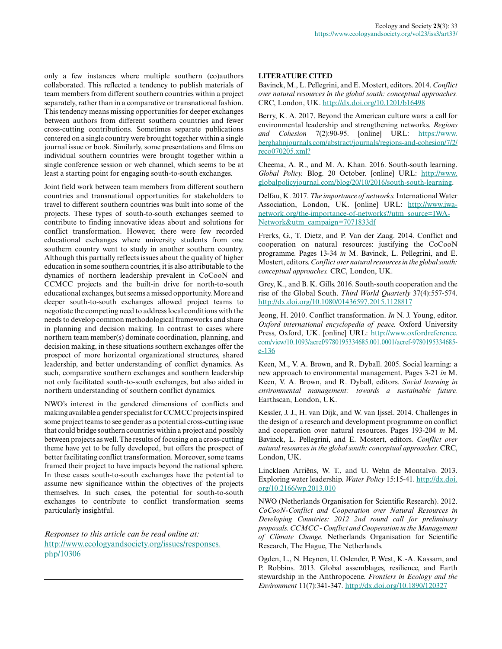only a few instances where multiple southern (co)authors collaborated. This reflected a tendency to publish materials of team members from different southern countries within a project separately, rather than in a comparative or transnational fashion. This tendency means missing opportunities for deeper exchanges between authors from different southern countries and fewer cross-cutting contributions. Sometimes separate publications centered on a single country were brought together within a single journal issue or book. Similarly, some presentations and films on individual southern countries were brought together within a single conference session or web channel, which seems to be at least a starting point for engaging south-to-south exchanges.

Joint field work between team members from different southern countries and transnational opportunities for stakeholders to travel to different southern countries was built into some of the projects. These types of south-to-south exchanges seemed to contribute to finding innovative ideas about and solutions for conflict transformation. However, there were few recorded educational exchanges where university students from one southern country went to study in another southern country. Although this partially reflects issues about the quality of higher education in some southern countries, it is also attributable to the dynamics of northern leadership prevalent in CoCooN and CCMCC projects and the built-in drive for north-to-south educational exchanges, but seems a missed opportunity. More and deeper south-to-south exchanges allowed project teams to negotiate the competing need to address local conditions with the needs to develop common methodological frameworks and share in planning and decision making. In contrast to cases where northern team member(s) dominate coordination, planning, and decision making, in these situations southern exchanges offer the prospect of more horizontal organizational structures, shared leadership, and better understanding of conflict dynamics. As such, comparative southern exchanges and southern leadership not only facilitated south-to-south exchanges, but also aided in northern understanding of southern conflict dynamics.

NWO's interest in the gendered dimensions of conflicts and making available a gender specialist for CCMCC projects inspired some project teams to see gender as a potential cross-cutting issue that could bridge southern countries within a project and possibly between projects as well. The results of focusing on a cross-cutting theme have yet to be fully developed, but offers the prospect of better facilitating conflict transformation. Moreover, some teams framed their project to have impacts beyond the national sphere. In these cases south-to-south exchanges have the potential to assume new significance within the objectives of the projects themselves. In such cases, the potential for south-to-south exchanges to contribute to conflict transformation seems particularly insightful.

*Responses to this article can be read online at:* [http://www.ecologyandsociety.org/issues/responses.](http://www.ecologyandsociety.org/issues/responses.php/10306) [php/10306](http://www.ecologyandsociety.org/issues/responses.php/10306)

## **LITERATURE CITED**

Bavinck, M., L. Pellegrini, and E. Mostert, editors. 2014. *Conflict over natural resources in the global south: conceptual approaches.* CRC, London, UK. [http://dx.doi.org/10.1201/b16498](http://dx.doi.org/10.1201%2Fb16498)

Berry, K. A. 2017. Beyond the American culture wars: a call for environmental leadership and strengthening networks. *Regions and Cohesion* 7(2):90-95. [online] URL: [https://www.](https://www.berghahnjournals.com/abstract/journals/regions-and-cohesion/7/2/reco070205.xml?) [berghahnjournals.com/abstract/journals/regions-and-cohesion/7/2/](https://www.berghahnjournals.com/abstract/journals/regions-and-cohesion/7/2/reco070205.xml?) [reco070205.xml?](https://www.berghahnjournals.com/abstract/journals/regions-and-cohesion/7/2/reco070205.xml?)

Cheema, A. R., and M. A. Khan. 2016. South-south learning. *Global Policy.* Blog. 20 October. [online] URL: [http://www.](http://www.globalpolicyjournal.com/blog/20/10/2016/south-south-learning) [globalpolicyjournal.com/blog/20/10/2016/south-south-learning](http://www.globalpolicyjournal.com/blog/20/10/2016/south-south-learning).

Delfau, K. 2017. *The importance of networks.* International Water Association, London, UK. [online] URL: [http://www.iwa](http://www.iwa-network.org/the-importance-of-networks?/utm_source=IWA-Network&utm_campaign=7071833df)[network.org/the-importance-of-networks?/utm\\_source=IWA-](http://www.iwa-network.org/the-importance-of-networks?/utm_source=IWA-Network&utm_campaign=7071833df)[Network&utm\\_campaign=7071833df](http://www.iwa-network.org/the-importance-of-networks?/utm_source=IWA-Network&utm_campaign=7071833df)

Frerks, G., T. Dietz, and P. Van der Zaag. 2014. Conflict and cooperation on natural resources: justifying the CoCooN programme. Pages 13-34 *in* M. Bavinck, L. Pellegrini, and E. Mostert, editors. *Conflict over natural resources in the global south: conceptual approaches.* CRC, London, UK.

Grey, K., and B. K. Gills. 2016. South-south cooperation and the rise of the Global South. *Third World Quarterly* 37(4):557-574. [http://dx.doi.org/10.1080/01436597.2015.1128817](http://dx.doi.org/10.1080%2F01436597.2015.1128817) 

Jeong, H. 2010. Conflict transformation. *In* N. J. Young, editor. *Oxford international encyclopedia of peace.* Oxford University Press, Oxford, UK. [online] URL: [http://www.oxfordreference.](http://www.oxfordreference.com/view/10.1093/acref/9780195334685.001.0001/acref-9780195334685-e-136) [com/view/10.1093/acref/9780195334685.001.0001/acref-9780195334685](http://www.oxfordreference.com/view/10.1093/acref/9780195334685.001.0001/acref-9780195334685-e-136) [e-136](http://www.oxfordreference.com/view/10.1093/acref/9780195334685.001.0001/acref-9780195334685-e-136)

Keen, M., V. A. Brown, and R. Dyball. 2005. Social learning: a new approach to environmental management. Pages 3-21 *in* M. Keen, V. A. Brown, and R. Dyball, editors. *Social learning in environmental management: towards a sustainable future.* Earthscan, London, UK.

Kessler, J. J., H. van Dijk, and W. van Ijssel. 2014. Challenges in the design of a research and development programme on conflict and cooperation over natural resources. Pages 193-204 *in* M. Bavinck, L. Pellegrini, and E. Mostert, editors. *Conflict over natural resources in the global south: conceptual approaches.* CRC, London, UK.

Lincklaen Arriëns, W. T., and U. Wehn de Montalvo. 2013. Exploring water leadership. *Water Policy* 15:15-41. [http://dx.doi.](http://dx.doi.org/10.2166%2Fwp.2013.010) [org/10.2166/wp.2013.010](http://dx.doi.org/10.2166%2Fwp.2013.010)

NWO (Netherlands Organisation for Scientific Research). 2012. *CoCooN-Conflict and Cooperation over Natural Resources in Developing Countries: 2012 2nd round call for preliminary proposals. CCMCC - Conflict and Cooperation in the Management of Climate Change.* Netherlands Organisation for Scientific Research, The Hague, The Netherlands.

Ogden, L., N. Heynen, U. Oslender, P. West, K.-A. Kassam, and P. Robbins. 2013. Global assemblages, resilience, and Earth stewardship in the Anthropocene. *Frontiers in Ecology and the Environment* 11(7):341-347. [http://dx.doi.org/10.1890/120327](http://dx.doi.org/10.1890%2F120327)